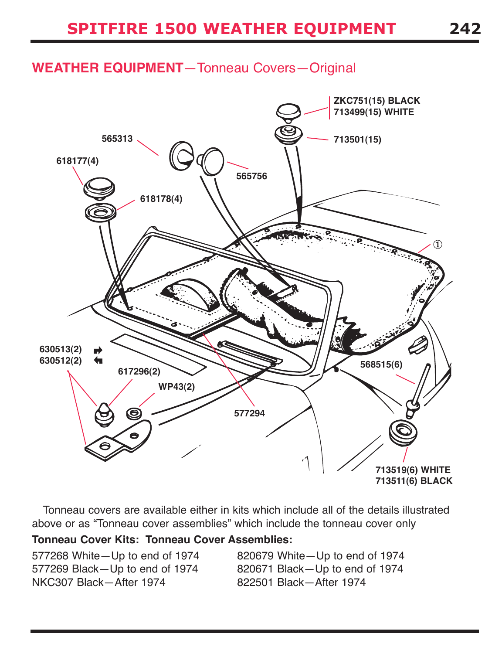### **weatheR eQUipMeNt**—Tonneau Covers—Original



Tonneau covers are available either in kits which include all of the details illustrated above or as "Tonneau cover assemblies" which include the tonneau cover only

#### **tonneau cover kits: tonneau cover assemblies:**

577268 White—Up to end of 1974 820679 White—Up to end of 1974 577269 Black—Up to end of 1974 820671 Black—Up to end of 1974 NKC307 Black—After 1974 822501 Black—After 1974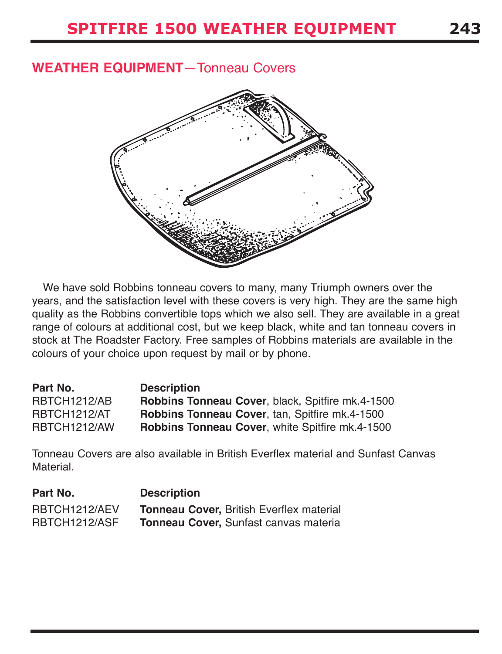#### **weatheR eQUipMeNt**—Tonneau Covers



We have sold Robbins tonneau covers to many, many Triumph owners over the years, and the satisfaction level with these covers is very high. They are the same high quality as the Robbins convertible tops which we also sell. They are available in a great range of colours at additional cost, but we keep black, white and tan tonneau covers in stock at The Roadster Factory. Free samples of Robbins materials are available in the colours of your choice upon request by mail or by phone.

| Part No.     | <b>Description</b>                                     |
|--------------|--------------------------------------------------------|
| RBTCH1212/AB | Robbins Tonneau Cover, black, Spitfire mk.4-1500       |
| RBTCH1212/AT | <b>Robbins Tonneau Cover, tan, Spitfire mk.4-1500</b>  |
| RBTCH1212/AW | <b>Robbins Tonneau Cover, white Spitfire mk.4-1500</b> |

Tonneau Covers are also available in British Everflex material and Sunfast Canvas Material.

| Part No.      | <b>Description</b>                              |
|---------------|-------------------------------------------------|
| RBTCH1212/AEV | <b>Tonneau Cover, British Everflex material</b> |
| RBTCH1212/ASF | Tonneau Cover, Sunfast canvas materia           |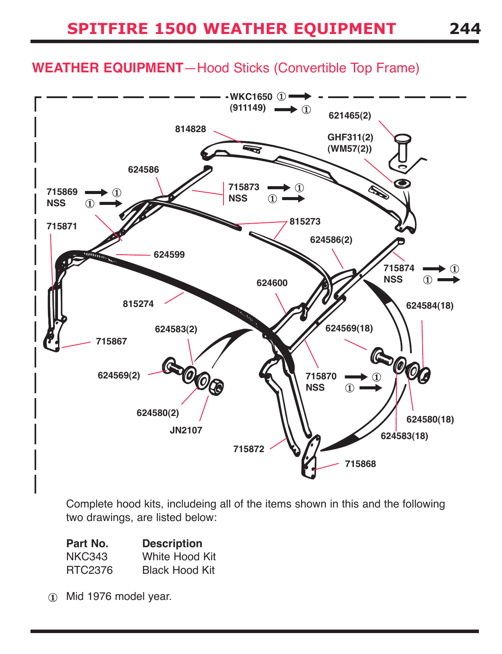### **weatheR eQUipMeNt**—Hood Sticks (Convertible Top Frame)



Complete hood kits, includeing all of the items shown in this and the following two drawings, are listed below:

| Part No.      | <b>Description</b>    |
|---------------|-----------------------|
| <b>NKC343</b> | <b>White Hood Kit</b> |
| RTC2376       | <b>Black Hood Kit</b> |

Mid 1976 model year.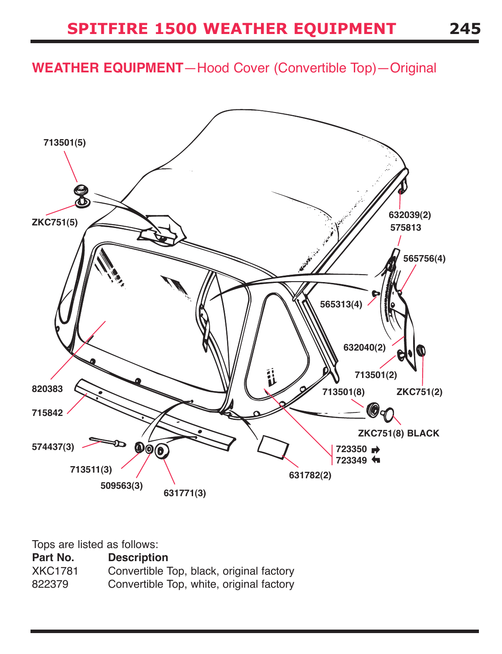## **weatheR eQUipMeNt**—Hood Cover (Convertible Top)—Original



Tops are listed as follows:

| Part No.       | <b>Description</b>                       |
|----------------|------------------------------------------|
| <b>XKC1781</b> | Convertible Top, black, original factory |
| 822379         | Convertible Top, white, original factory |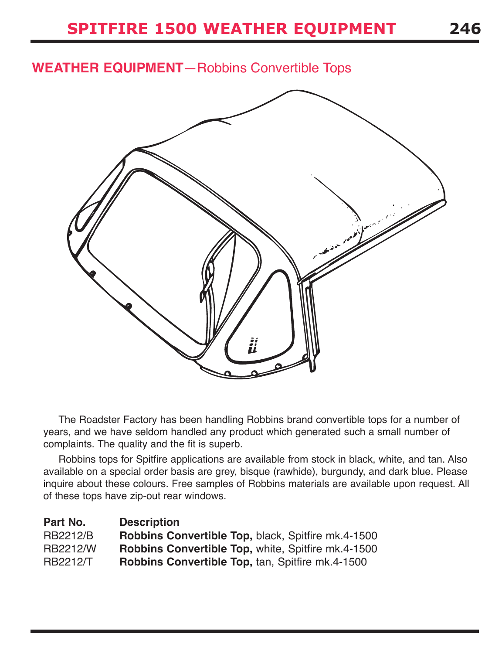### **weatheR eQUipMeNt**—Robbins Convertible Tops



The Roadster Factory has been handling Robbins brand convertible tops for a number of years, and we have seldom handled any product which generated such a small number of complaints. The quality and the fit is superb.

Robbins tops for Spitfire applications are available from stock in black, white, and tan. Also available on a special order basis are grey, bisque (rawhide), burgundy, and dark blue. Please inquire about these colours. Free samples of Robbins materials are available upon request. All of these tops have zip-out rear windows.

| Part No.        | <b>Description</b>                                        |
|-----------------|-----------------------------------------------------------|
| <b>RB2212/B</b> | Robbins Convertible Top, black, Spitfire mk.4-1500        |
| <b>RB2212/W</b> | <b>Robbins Convertible Top, white, Spitfire mk.4-1500</b> |
| <b>RB2212/T</b> | <b>Robbins Convertible Top, tan, Spitfire mk.4-1500</b>   |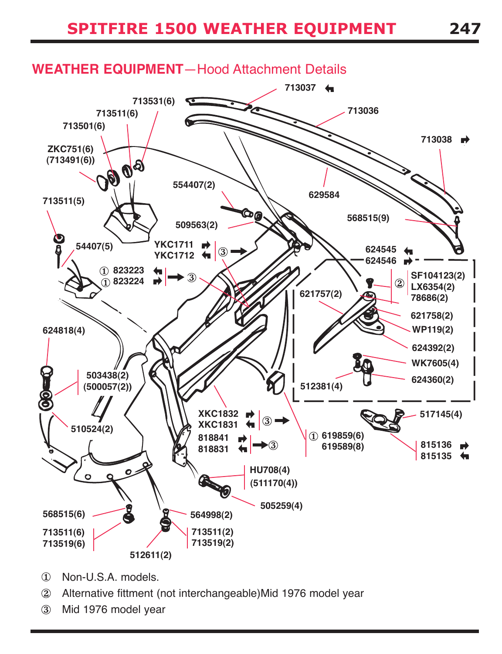

- $\Omega$ Non-U.S.A. models.
- Alternative fittment (not interchangeable)Mid 1976 model year  $\circled{2}$
- $\circled{3}$ Mid 1976 model year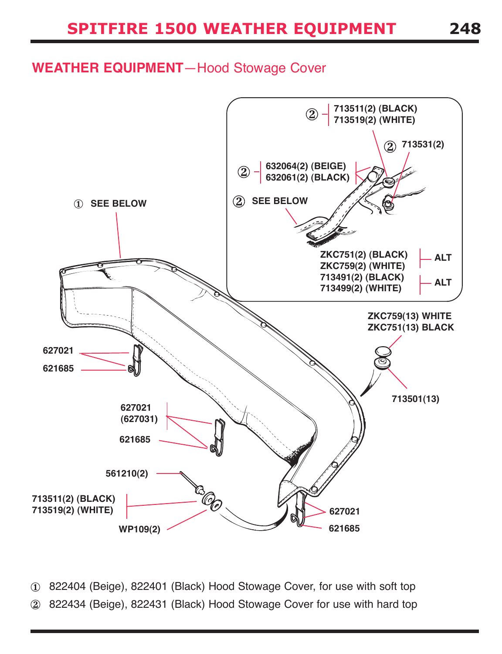#### **weatheR eQUipMeNt**—Hood Stowage Cover



822404 (Beige), 822401 (Black) Hood Stowage Cover, for use with soft top  $\circled{1}$ 822434 (Beige), 822431 (Black) Hood Stowage Cover for use with hard top  $(2)$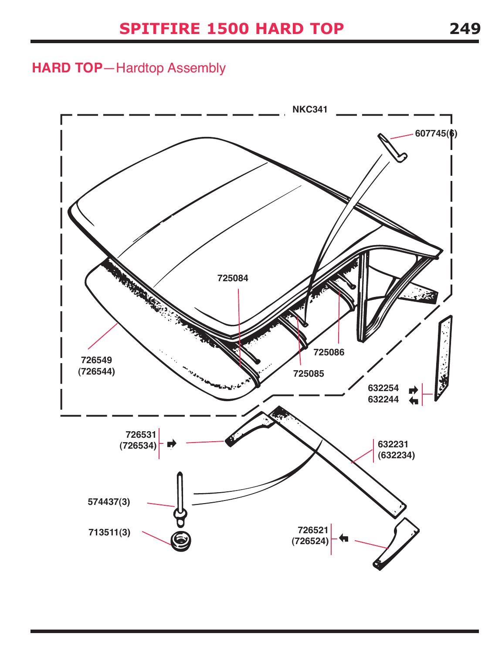### **haRD top**—Hardtop Assembly

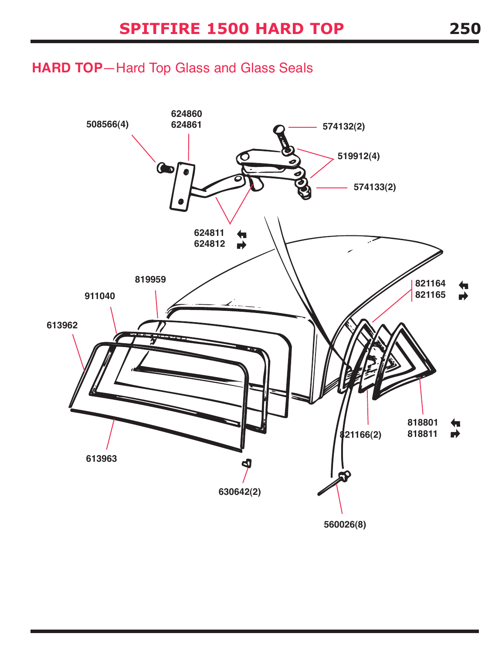### **haRD top**—Hard Top Glass and Glass Seals

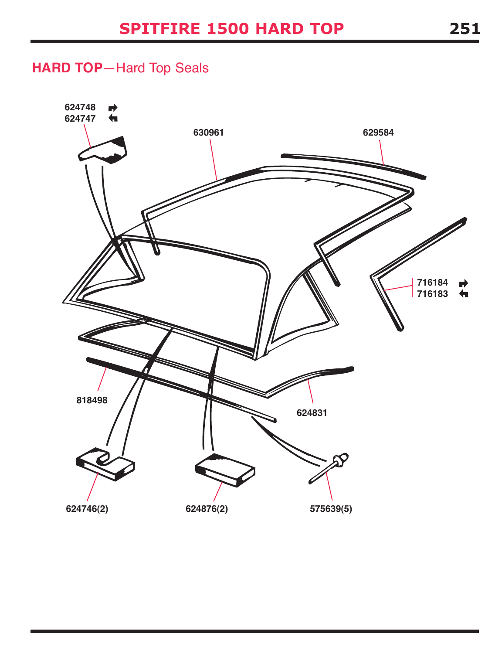# **haRD top**—Hard Top Seals

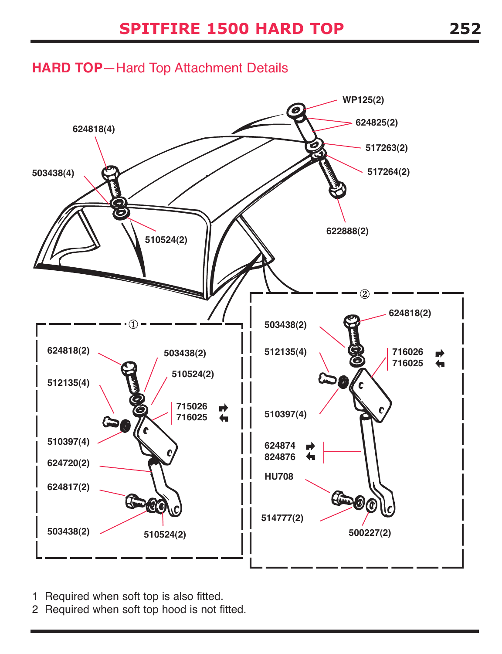### **haRD top**—Hard Top Attachment Details



- 1 Required when soft top is also fitted.
- 2 Required when soft top hood is not fitted.